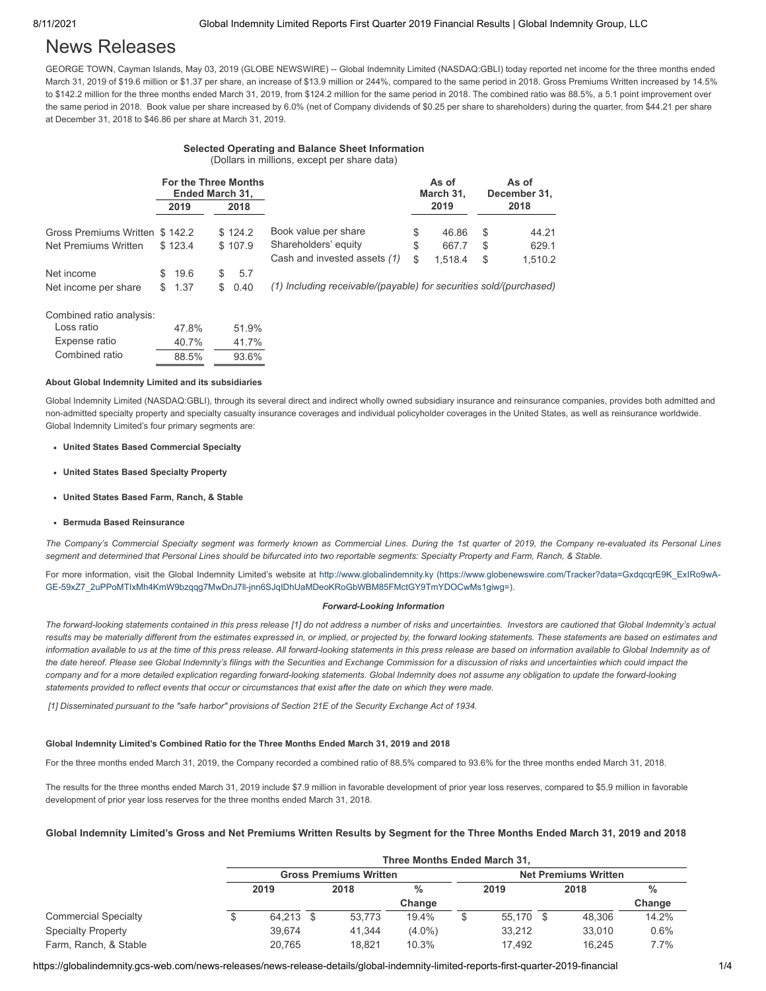# News Releases

GEORGE TOWN, Cayman Islands, May 03, 2019 (GLOBE NEWSWIRE) -- Global Indemnity Limited (NASDAQ:GBLI) today reported net income for the three months ended March 31, 2019 of \$19.6 million or \$1.37 per share, an increase of \$13.9 million or 244%, compared to the same period in 2018. Gross Premiums Written increased by 14.5% to \$142.2 million for the three months ended March 31, 2019, from \$124.2 million for the same period in 2018. The combined ratio was 88.5%, a 5.1 point improvement over the same period in 2018. Book value per share increased by 6.0% (net of Company dividends of \$0.25 per share to shareholders) during the quarter, from \$44.21 per share at December 31, 2018 to \$46.86 per share at March 31, 2019.

## **Selected Operating and Balance Sheet Information**

(Dollars in millions, except per share data)

|                                | <b>For the Three Months</b><br>Ended March 31, |         |                              | As of<br>March 31, |    | As of<br>December 31. |
|--------------------------------|------------------------------------------------|---------|------------------------------|--------------------|----|-----------------------|
|                                | 2019                                           | 2018    |                              | 2019               |    | 2018                  |
| Gross Premiums Written \$142.2 |                                                | \$124.2 | Book value per share         | \$<br>46.86        | \$ | 44.21                 |
| Net Premiums Written           | \$123.4                                        | \$107.9 | Shareholders' equity         | \$<br>667.7        | \$ | 629.1                 |
|                                |                                                |         | Cash and invested assets (1) | \$<br>1.518.4      | \$ | 1.510.2               |
| Net income                     | 19.6<br>SS.                                    | 5.7     |                              |                    |    |                       |

Net income per share \$ 1.37 \$ 0.40 *(1) Including receivable/(payable) for securities sold/(purchased)*

Combined ratio analysis:

| Loss ratio     | 47.8% | 51.9% |
|----------------|-------|-------|
| Expense ratio  | 40.7% | 41.7% |
| Combined ratio | 88.5% | 93.6% |

### **About Global Indemnity Limited and its subsidiaries**

Global Indemnity Limited (NASDAQ:GBLI), through its several direct and indirect wholly owned subsidiary insurance and reinsurance companies, provides both admitted and non-admitted specialty property and specialty casualty insurance coverages and individual policyholder coverages in the United States, as well as reinsurance worldwide. Global Indemnity Limited's four primary segments are:

### **United States Based Commercial Specialty**

- **United States Based Specialty Property**
- **United States Based Farm, Ranch, & Stable**
- **Bermuda Based Reinsurance**

*The Company's Commercial Specialty segment was formerly known as Commercial Lines. During the 1st quarter of 2019, the Company re-evaluated its Personal Lines segment and determined that Personal Lines should be bifurcated into two reportable segments: Specialty Property and Farm, Ranch, & Stable.*

For more information, visit the Global Indemnity Limited's website at http://www.globalindemnity.ky (https://www.globenewswire.com/Tracker?data=GxdqcqrE9K\_ExIRo9wA-[GE-59xZ7\\_2uPPoMTIxMh4KmW9bzqqg7MwDnJ7ll-jnn6SJqIDhUaMDeoKRoGbWBM85FMctGY9TmYDOCwMs1giwg=\).](https://www.globenewswire.com/Tracker?data=GxdqcqrE9K_ExIRo9wA-GE-59xZ7_2uPPoMTIxMh4KmW9bzqqg7MwDnJ7ll-jnn6SJqIDhUaMDeoKRoGbWBM85FMctGY9TmYDOCwMs1giwg=)

### *Forward-Looking Information*

*The forward-looking statements contained in this press release [1] do not address a number of risks and uncertainties. Investors are cautioned that Global Indemnity's actual results may be materially different from the estimates expressed in, or implied, or projected by, the forward looking statements. These statements are based on estimates and information available to us at the time of this press release. All forward-looking statements in this press release are based on information available to Global Indemnity as of the date hereof. Please see Global Indemnity's filings with the Securities and Exchange Commission for a discussion of risks and uncertainties which could impact the company and for a more detailed explication regarding forward-looking statements. Global Indemnity does not assume any obligation to update the forward-looking statements provided to reflect events that occur or circumstances that exist after the date on which they were made.* 

*[1] Disseminated pursuant to the "safe harbor" provisions of Section 21E of the Security Exchange Act of 1934.*

### **Global Indemnity Limited's Combined Ratio for the Three Months Ended March 31, 2019 and 2018**

For the three months ended March 31, 2019, the Company recorded a combined ratio of 88.5% compared to 93.6% for the three months ended March 31, 2018.

The results for the three months ended March 31, 2019 include \$7.9 million in favorable development of prior year loss reserves, compared to \$5.9 million in favorable development of prior year loss reserves for the three months ended March 31, 2018.

## **Global Indemnity Limited's Gross and Net Premiums Written Results by Segment for the Three Months Ended March 31, 2019 and 2018**

|                             | Three Months Ended March 31,  |      |        |           |                             |        |      |        |               |
|-----------------------------|-------------------------------|------|--------|-----------|-----------------------------|--------|------|--------|---------------|
|                             | <b>Gross Premiums Written</b> |      |        |           | <b>Net Premiums Written</b> |        |      |        |               |
|                             | 2019                          |      | 2018   | %         | 2019                        |        | 2018 |        | $\frac{9}{6}$ |
|                             |                               |      |        | Change    |                             |        |      |        | Change        |
| <b>Commercial Specialty</b> | 64.213                        | - \$ | 53.773 | 19.4%     |                             | 55.170 | - \$ | 48.306 | 14.2%         |
| <b>Specialty Property</b>   | 39.674                        |      | 41.344 | $(4.0\%)$ |                             | 33.212 |      | 33.010 | 0.6%          |
| Farm, Ranch, & Stable       | 20.765                        |      | 18.821 | 10.3%     |                             | 17.492 |      | 16.245 | 7.7%          |

https://globalindemnity.gcs-web.com/news-releases/news-release-details/global-indemnity-limited-reports-first-quarter-2019-financial 1/4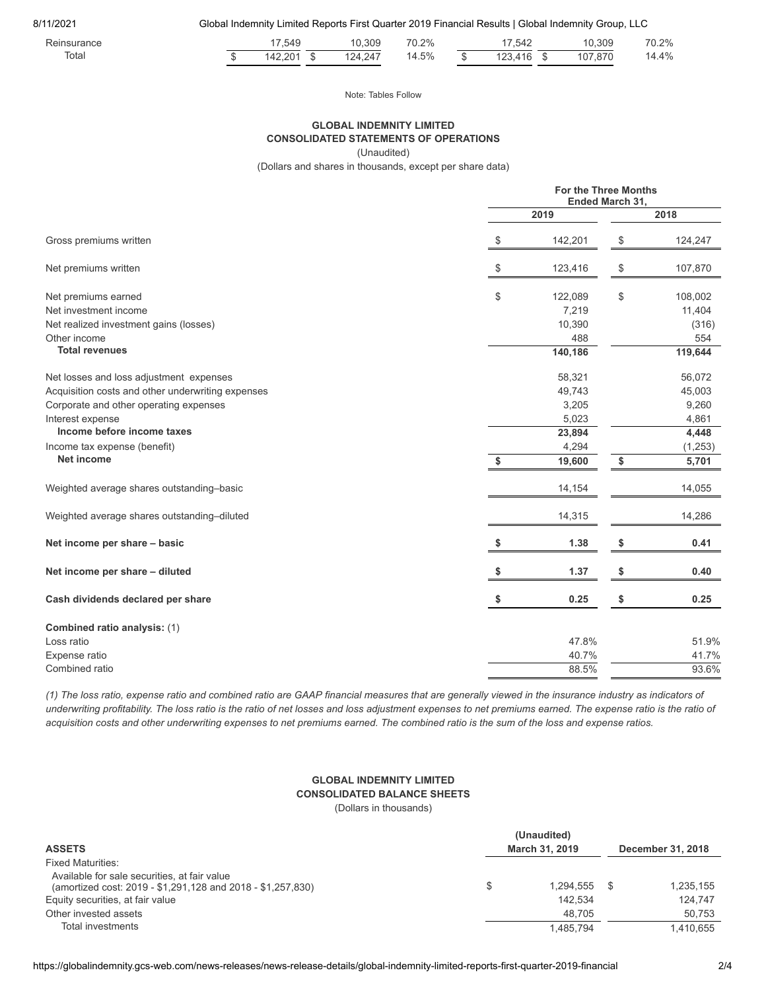8/11/2021 Global Indemnity Limited Reports First Quarter 2019 Financial Results | Global Indemnity Group, LLC

| $\overline{\phantom{a}}$<br>Reinsurance |     | $-10$<br>.549        | 10.309           | 70.2% | 542.                                | 10.309      | 70.00<br>70.Z% |
|-----------------------------------------|-----|----------------------|------------------|-------|-------------------------------------|-------------|----------------|
| Total                                   | -15 | $\Omega$<br>$\Delta$ | $+24^{-}$<br>124 | 14.5% | $\sim$<br>$\lambda$<br><br>∠∪<br>٠. | 107<br>.870 | $+4\%$         |

Note: Tables Follow

## **GLOBAL INDEMNITY LIMITED CONSOLIDATED STATEMENTS OF OPERATIONS**

(Unaudited)

(Dollars and shares in thousands, except per share data)

|                                                   |    | <b>For the Three Months</b><br>Ended March 31,<br>2019 |                                           |          |  |  |
|---------------------------------------------------|----|--------------------------------------------------------|-------------------------------------------|----------|--|--|
|                                                   |    | 2018                                                   |                                           |          |  |  |
| Gross premiums written                            | \$ | 142,201                                                | \$                                        | 124,247  |  |  |
| Net premiums written                              | \$ | 123,416                                                | $\, \, \raisebox{12pt}{$\scriptstyle \$}$ | 107,870  |  |  |
| Net premiums earned                               | \$ | 122,089                                                | \$                                        | 108,002  |  |  |
| Net investment income                             |    | 7,219                                                  |                                           | 11,404   |  |  |
| Net realized investment gains (losses)            |    | 10,390                                                 |                                           | (316)    |  |  |
| Other income                                      |    | 488                                                    |                                           | 554      |  |  |
| <b>Total revenues</b>                             |    | 140,186                                                |                                           | 119,644  |  |  |
| Net losses and loss adjustment expenses           |    | 58,321                                                 |                                           | 56,072   |  |  |
| Acquisition costs and other underwriting expenses |    | 49,743                                                 |                                           | 45,003   |  |  |
| Corporate and other operating expenses            |    | 3,205                                                  |                                           | 9,260    |  |  |
| Interest expense                                  |    | 5,023                                                  |                                           | 4,861    |  |  |
| Income before income taxes                        |    | 23,894                                                 |                                           | 4,448    |  |  |
| Income tax expense (benefit)                      |    | 4,294                                                  |                                           | (1, 253) |  |  |
| <b>Net income</b>                                 | \$ | 19,600                                                 | \$                                        | 5,701    |  |  |
| Weighted average shares outstanding-basic         |    | 14,154                                                 |                                           | 14,055   |  |  |
| Weighted average shares outstanding-diluted       |    | 14,315                                                 |                                           | 14,286   |  |  |
| Net income per share - basic                      | \$ | 1.38                                                   | \$                                        | 0.41     |  |  |
| Net income per share - diluted                    | \$ | 1.37                                                   | \$                                        | 0.40     |  |  |
| Cash dividends declared per share                 | S  | 0.25                                                   | \$                                        | 0.25     |  |  |
| Combined ratio analysis: (1)                      |    |                                                        |                                           |          |  |  |
| Loss ratio                                        |    | 47.8%                                                  |                                           | 51.9%    |  |  |
| Expense ratio                                     |    | 40.7%                                                  |                                           | 41.7%    |  |  |
| Combined ratio                                    |    | 88.5%                                                  |                                           | 93.6%    |  |  |
|                                                   |    |                                                        |                                           |          |  |  |

*(1) The loss ratio, expense ratio and combined ratio are GAAP financial measures that are generally viewed in the insurance industry as indicators of underwriting profitability. The loss ratio is the ratio of net losses and loss adjustment expenses to net premiums earned. The expense ratio is the ratio of acquisition costs and other underwriting expenses to net premiums earned. The combined ratio is the sum of the loss and expense ratios.*

## **GLOBAL INDEMNITY LIMITED CONSOLIDATED BALANCE SHEETS**

(Dollars in thousands)

| <b>ASSETS</b>                                                                                                                                   | (Unaudited)<br>March 31, 2019 |                      |  | December 31, 2018    |  |  |
|-------------------------------------------------------------------------------------------------------------------------------------------------|-------------------------------|----------------------|--|----------------------|--|--|
| <b>Fixed Maturities:</b>                                                                                                                        |                               |                      |  |                      |  |  |
| Available for sale securities, at fair value<br>(amortized cost: 2019 - \$1,291,128 and 2018 - \$1,257,830)<br>Equity securities, at fair value | \$                            | 1.294.555<br>142.534 |  | 1,235,155<br>124.747 |  |  |
| Other invested assets                                                                                                                           |                               | 48.705               |  | 50.753               |  |  |
| Total investments                                                                                                                               |                               | 1.485.794            |  | 1.410.655            |  |  |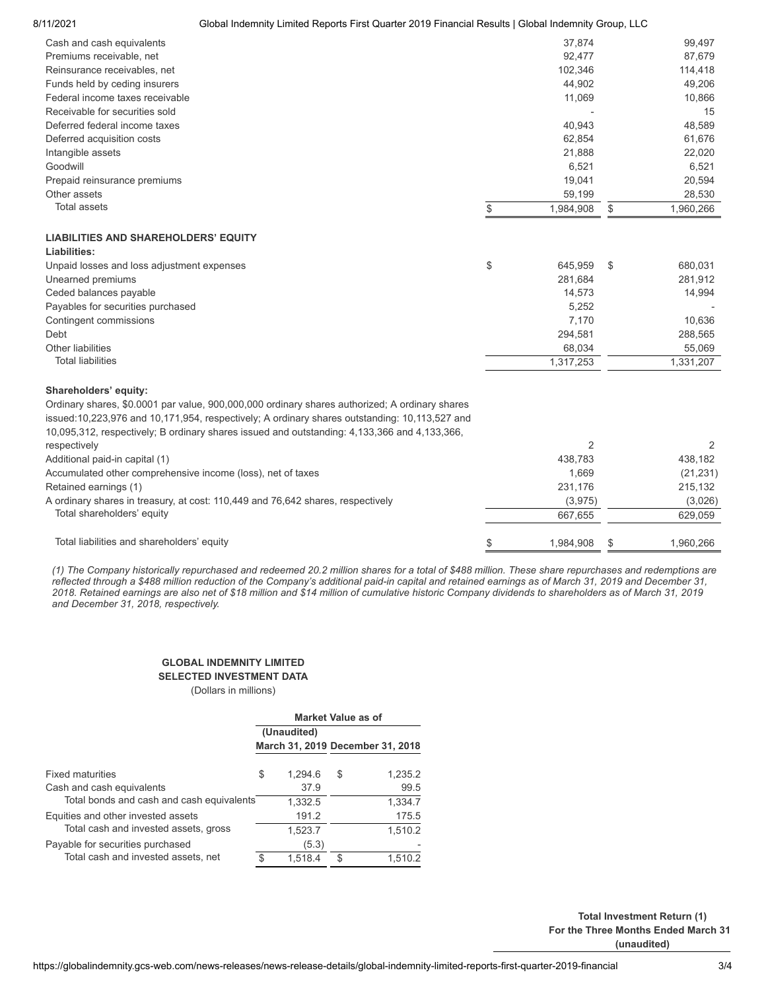## 8/11/2021 Global Indemnity Limited Reports First Quarter 2019 Financial Results | Global Indemnity Group, LLC

| Cash and cash equivalents       | 37,874    | 99,497    |
|---------------------------------|-----------|-----------|
| Premiums receivable, net        | 92.477    | 87,679    |
| Reinsurance receivables, net    | 102.346   | 114,418   |
| Funds held by ceding insurers   | 44,902    | 49.206    |
| Federal income taxes receivable | 11,069    | 10,866    |
| Receivable for securities sold  |           | 15        |
| Deferred federal income taxes   | 40,943    | 48,589    |
| Deferred acquisition costs      | 62,854    | 61,676    |
| Intangible assets               | 21,888    | 22,020    |
| Goodwill                        | 6.521     | 6.521     |
| Prepaid reinsurance premiums    | 19,041    | 20,594    |
| Other assets                    | 59,199    | 28,530    |
| <b>Total assets</b>             | 1.984.908 | 1,960,266 |
|                                 |           |           |

## **LIABILITIES AND SHAREHOLDERS' EQUITY**

| Liabilities:                               |               |           |
|--------------------------------------------|---------------|-----------|
| Unpaid losses and loss adjustment expenses | \$<br>645.959 | 680.031   |
| Unearned premiums                          | 281.684       | 281,912   |
| Ceded balances payable                     | 14.573        | 14.994    |
| Payables for securities purchased          | 5.252         |           |
| Contingent commissions                     | 7.170         | 10.636    |
| Debt                                       | 294.581       | 288.565   |
| Other liabilities                          | 68.034        | 55.069    |
| <b>Total liabilities</b>                   | 1.317.253     | 1.331.207 |

### **Shareholders' equity:**

Ordinary shares, \$0.0001 par value, 900,000,000 ordinary shares authorized; A ordinary shares issued:10,223,976 and 10,171,954, respectively; A ordinary shares outstanding: 10,113,527 and 10,095,312, respectively; B ordinary shares issued and outstanding: 4,133,366 and 4,133,366,

| respectively                                                                    |           |           |
|---------------------------------------------------------------------------------|-----------|-----------|
| Additional paid-in capital (1)                                                  | 438.783   | 438.182   |
| Accumulated other comprehensive income (loss), net of taxes                     | 1.669     | (21, 231) |
| Retained earnings (1)                                                           | 231.176   | 215.132   |
| A ordinary shares in treasury, at cost: 110,449 and 76,642 shares, respectively | (3.975)   | (3,026)   |
| Total shareholders' equity                                                      | 667.655   | 629.059   |
|                                                                                 |           |           |
| Total liabilities and shareholders' equity                                      | 1.984.908 | .960.266  |

*(1) The Company historically repurchased and redeemed 20.2 million shares for a total of \$488 million. These share repurchases and redemptions are reflected through a \$488 million reduction of the Company's additional paid-in capital and retained earnings as of March 31, 2019 and December 31, 2018. Retained earnings are also net of \$18 million and \$14 million of cumulative historic Company dividends to shareholders as of March 31, 2019 and December 31, 2018, respectively.*

## **GLOBAL INDEMNITY LIMITED**

## **SELECTED INVESTMENT DATA**

(Dollars in millions)

|                                           | <b>Market Value as of</b> |             |                                  |         |  |  |
|-------------------------------------------|---------------------------|-------------|----------------------------------|---------|--|--|
|                                           |                           | (Unaudited) |                                  |         |  |  |
|                                           |                           |             | March 31, 2019 December 31, 2018 |         |  |  |
| <b>Fixed maturities</b>                   | \$                        | 1.294.6     | S                                | 1,235.2 |  |  |
| Cash and cash equivalents                 |                           | 37.9        |                                  | 99.5    |  |  |
| Total bonds and cash and cash equivalents |                           | 1,332.5     |                                  | 1,334.7 |  |  |
| Equities and other invested assets        |                           | 191.2       |                                  | 175.5   |  |  |
| Total cash and invested assets, gross     |                           | 1,523.7     |                                  | 1,510.2 |  |  |
| Payable for securities purchased          |                           | (5.3)       |                                  |         |  |  |
| Total cash and invested assets, net       | ደ                         | 1.518.4     | \$                               | 1.510.2 |  |  |